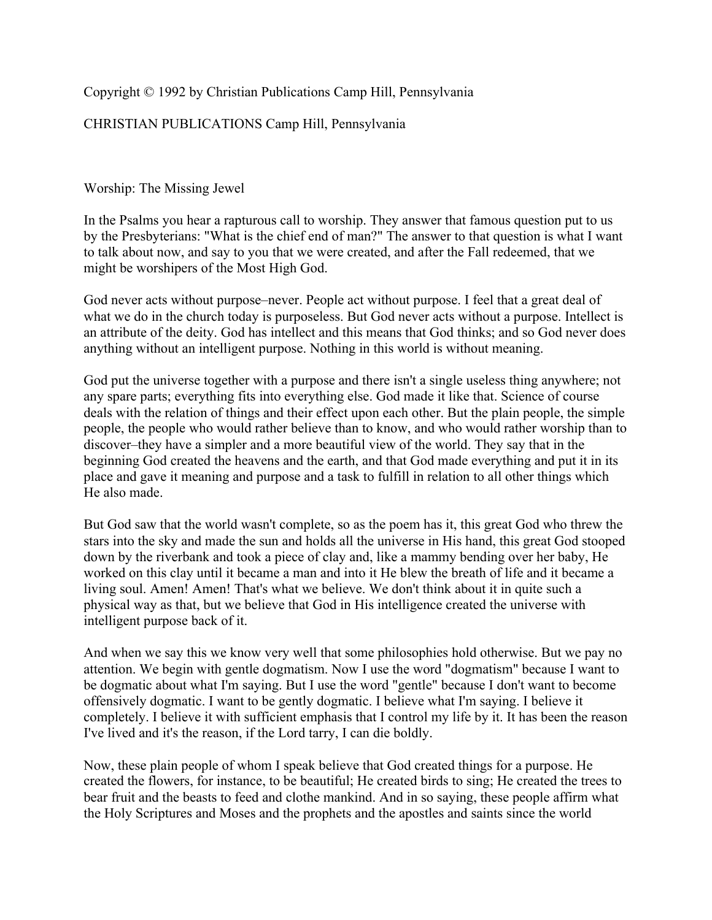## Copyright © 1992 by Christian Publications Camp Hill, Pennsylvania

## CHRISTIAN PUBLICATIONS Camp Hill, Pennsylvania

## Worship: The Missing Jewel

In the Psalms you hear a rapturous call to worship. They answer that famous question put to us by the Presbyterians: "What is the chief end of man?" The answer to that question is what I want to talk about now, and say to you that we were created, and after the Fall redeemed, that we might be worshipers of the Most High God.

God never acts without purpose–never. People act without purpose. I feel that a great deal of what we do in the church today is purposeless. But God never acts without a purpose. Intellect is an attribute of the deity. God has intellect and this means that God thinks; and so God never does anything without an intelligent purpose. Nothing in this world is without meaning.

God put the universe together with a purpose and there isn't a single useless thing anywhere; not any spare parts; everything fits into everything else. God made it like that. Science of course deals with the relation of things and their effect upon each other. But the plain people, the simple people, the people who would rather believe than to know, and who would rather worship than to discover–they have a simpler and a more beautiful view of the world. They say that in the beginning God created the heavens and the earth, and that God made everything and put it in its place and gave it meaning and purpose and a task to fulfill in relation to all other things which He also made.

But God saw that the world wasn't complete, so as the poem has it, this great God who threw the stars into the sky and made the sun and holds all the universe in His hand, this great God stooped down by the riverbank and took a piece of clay and, like a mammy bending over her baby, He worked on this clay until it became a man and into it He blew the breath of life and it became a living soul. Amen! Amen! That's what we believe. We don't think about it in quite such a physical way as that, but we believe that God in His intelligence created the universe with intelligent purpose back of it.

And when we say this we know very well that some philosophies hold otherwise. But we pay no attention. We begin with gentle dogmatism. Now I use the word "dogmatism" because I want to be dogmatic about what I'm saying. But I use the word "gentle" because I don't want to become offensively dogmatic. I want to be gently dogmatic. I believe what I'm saying. I believe it completely. I believe it with sufficient emphasis that I control my life by it. It has been the reason I've lived and it's the reason, if the Lord tarry, I can die boldly.

Now, these plain people of whom I speak believe that God created things for a purpose. He created the flowers, for instance, to be beautiful; He created birds to sing; He created the trees to bear fruit and the beasts to feed and clothe mankind. And in so saying, these people affirm what the Holy Scriptures and Moses and the prophets and the apostles and saints since the world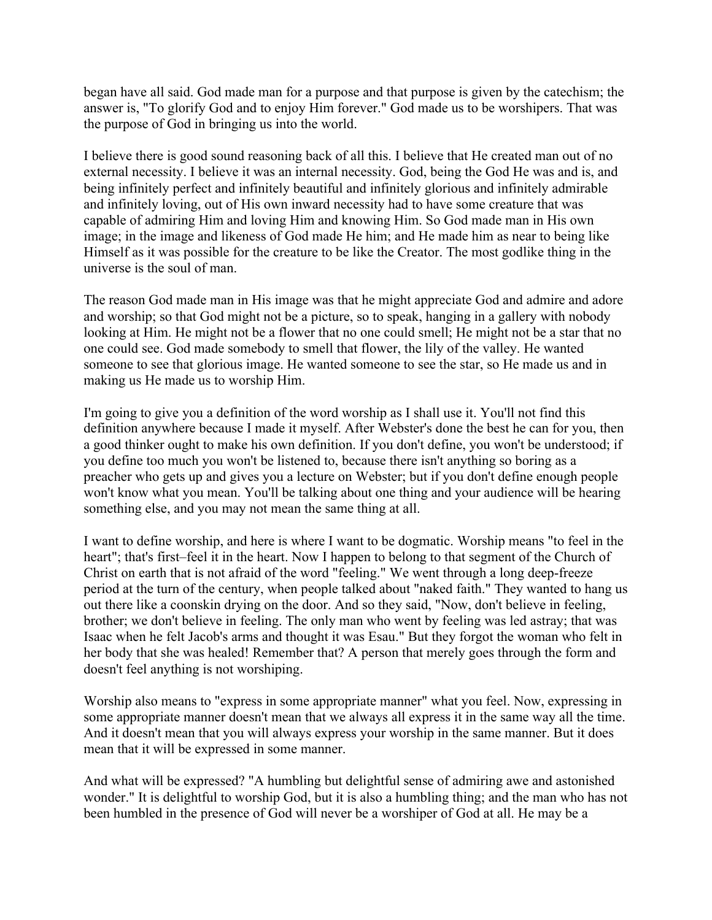began have all said. God made man for a purpose and that purpose is given by the catechism; the answer is, "To glorify God and to enjoy Him forever." God made us to be worshipers. That was the purpose of God in bringing us into the world.

I believe there is good sound reasoning back of all this. I believe that He created man out of no external necessity. I believe it was an internal necessity. God, being the God He was and is, and being infinitely perfect and infinitely beautiful and infinitely glorious and infinitely admirable and infinitely loving, out of His own inward necessity had to have some creature that was capable of admiring Him and loving Him and knowing Him. So God made man in His own image; in the image and likeness of God made He him; and He made him as near to being like Himself as it was possible for the creature to be like the Creator. The most godlike thing in the universe is the soul of man.

The reason God made man in His image was that he might appreciate God and admire and adore and worship; so that God might not be a picture, so to speak, hanging in a gallery with nobody looking at Him. He might not be a flower that no one could smell; He might not be a star that no one could see. God made somebody to smell that flower, the lily of the valley. He wanted someone to see that glorious image. He wanted someone to see the star, so He made us and in making us He made us to worship Him.

I'm going to give you a definition of the word worship as I shall use it. You'll not find this definition anywhere because I made it myself. After Webster's done the best he can for you, then a good thinker ought to make his own definition. If you don't define, you won't be understood; if you define too much you won't be listened to, because there isn't anything so boring as a preacher who gets up and gives you a lecture on Webster; but if you don't define enough people won't know what you mean. You'll be talking about one thing and your audience will be hearing something else, and you may not mean the same thing at all.

I want to define worship, and here is where I want to be dogmatic. Worship means "to feel in the heart"; that's first–feel it in the heart. Now I happen to belong to that segment of the Church of Christ on earth that is not afraid of the word "feeling." We went through a long deep-freeze period at the turn of the century, when people talked about "naked faith." They wanted to hang us out there like a coonskin drying on the door. And so they said, "Now, don't believe in feeling, brother; we don't believe in feeling. The only man who went by feeling was led astray; that was Isaac when he felt Jacob's arms and thought it was Esau." But they forgot the woman who felt in her body that she was healed! Remember that? A person that merely goes through the form and doesn't feel anything is not worshiping.

Worship also means to "express in some appropriate manner" what you feel. Now, expressing in some appropriate manner doesn't mean that we always all express it in the same way all the time. And it doesn't mean that you will always express your worship in the same manner. But it does mean that it will be expressed in some manner.

And what will be expressed? "A humbling but delightful sense of admiring awe and astonished wonder." It is delightful to worship God, but it is also a humbling thing; and the man who has not been humbled in the presence of God will never be a worshiper of God at all. He may be a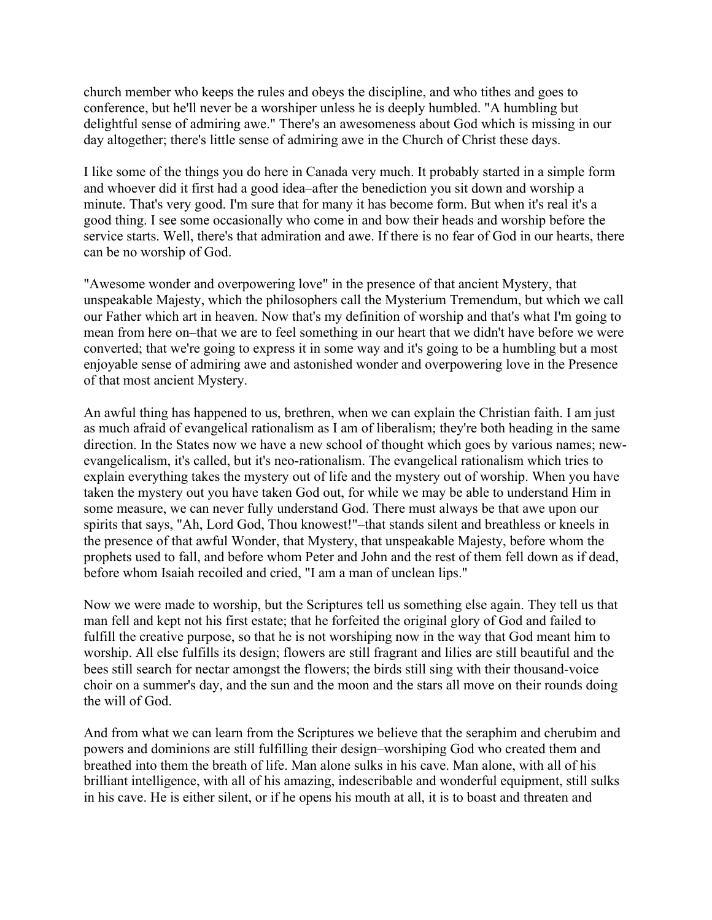church member who keeps the rules and obeys the discipline, and who tithes and goes to conference, but he'll never be a worshiper unless he is deeply humbled. "A humbling but delightful sense of admiring awe." There's an awesomeness about God which is missing in our day altogether; there's little sense of admiring awe in the Church of Christ these days.

I like some of the things you do here in Canada very much. It probably started in a simple form and whoever did it first had a good idea–after the benediction you sit down and worship a minute. That's very good. I'm sure that for many it has become form. But when it's real it's a good thing. I see some occasionally who come in and bow their heads and worship before the service starts. Well, there's that admiration and awe. If there is no fear of God in our hearts, there can be no worship of God.

"Awesome wonder and overpowering love" in the presence of that ancient Mystery, that unspeakable Majesty, which the philosophers call the Mysterium Tremendum, but which we call our Father which art in heaven. Now that's my definition of worship and that's what I'm going to mean from here on–that we are to feel something in our heart that we didn't have before we were converted; that we're going to express it in some way and it's going to be a humbling but a most enjoyable sense of admiring awe and astonished wonder and overpowering love in the Presence of that most ancient Mystery.

An awful thing has happened to us, brethren, when we can explain the Christian faith. I am just as much afraid of evangelical rationalism as I am of liberalism; they're both heading in the same direction. In the States now we have a new school of thought which goes by various names; newevangelicalism, it's called, but it's neo-rationalism. The evangelical rationalism which tries to explain everything takes the mystery out of life and the mystery out of worship. When you have taken the mystery out you have taken God out, for while we may be able to understand Him in some measure, we can never fully understand God. There must always be that awe upon our spirits that says, "Ah, Lord God, Thou knowest!"–that stands silent and breathless or kneels in the presence of that awful Wonder, that Mystery, that unspeakable Majesty, before whom the prophets used to fall, and before whom Peter and John and the rest of them fell down as if dead, before whom Isaiah recoiled and cried, "I am a man of unclean lips."

Now we were made to worship, but the Scriptures tell us something else again. They tell us that man fell and kept not his first estate; that he forfeited the original glory of God and failed to fulfill the creative purpose, so that he is not worshiping now in the way that God meant him to worship. All else fulfills its design; flowers are still fragrant and lilies are still beautiful and the bees still search for nectar amongst the flowers; the birds still sing with their thousand-voice choir on a summer's day, and the sun and the moon and the stars all move on their rounds doing the will of God.

And from what we can learn from the Scriptures we believe that the seraphim and cherubim and powers and dominions are still fulfilling their design–worshiping God who created them and breathed into them the breath of life. Man alone sulks in his cave. Man alone, with all of his brilliant intelligence, with all of his amazing, indescribable and wonderful equipment, still sulks in his cave. He is either silent, or if he opens his mouth at all, it is to boast and threaten and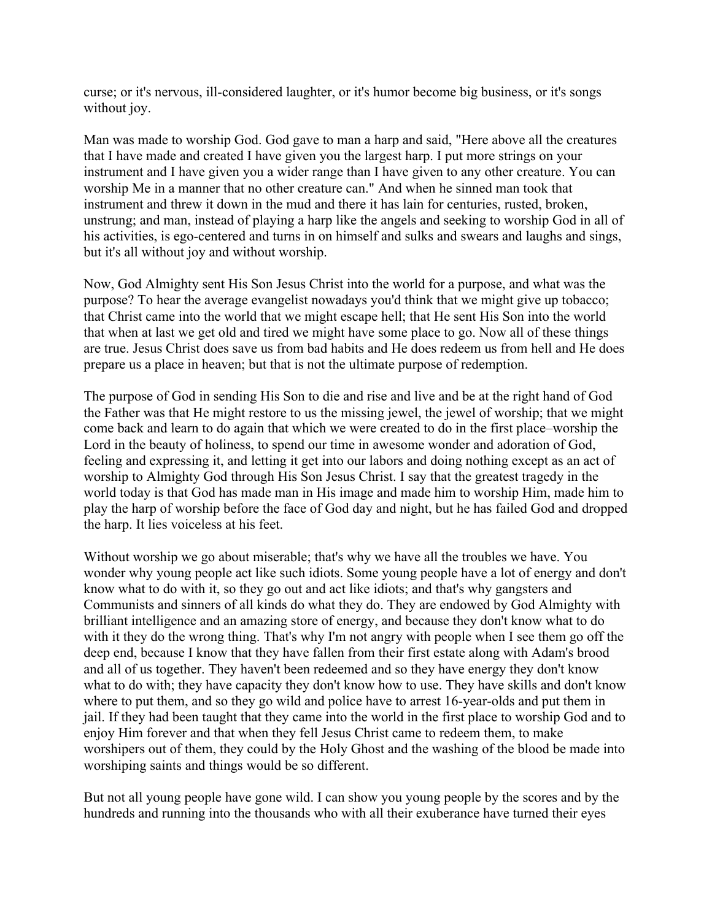curse; or it's nervous, ill-considered laughter, or it's humor become big business, or it's songs without joy.

Man was made to worship God. God gave to man a harp and said, "Here above all the creatures that I have made and created I have given you the largest harp. I put more strings on your instrument and I have given you a wider range than I have given to any other creature. You can worship Me in a manner that no other creature can." And when he sinned man took that instrument and threw it down in the mud and there it has lain for centuries, rusted, broken, unstrung; and man, instead of playing a harp like the angels and seeking to worship God in all of his activities, is ego-centered and turns in on himself and sulks and swears and laughs and sings, but it's all without joy and without worship.

Now, God Almighty sent His Son Jesus Christ into the world for a purpose, and what was the purpose? To hear the average evangelist nowadays you'd think that we might give up tobacco; that Christ came into the world that we might escape hell; that He sent His Son into the world that when at last we get old and tired we might have some place to go. Now all of these things are true. Jesus Christ does save us from bad habits and He does redeem us from hell and He does prepare us a place in heaven; but that is not the ultimate purpose of redemption.

The purpose of God in sending His Son to die and rise and live and be at the right hand of God the Father was that He might restore to us the missing jewel, the jewel of worship; that we might come back and learn to do again that which we were created to do in the first place–worship the Lord in the beauty of holiness, to spend our time in awesome wonder and adoration of God, feeling and expressing it, and letting it get into our labors and doing nothing except as an act of worship to Almighty God through His Son Jesus Christ. I say that the greatest tragedy in the world today is that God has made man in His image and made him to worship Him, made him to play the harp of worship before the face of God day and night, but he has failed God and dropped the harp. It lies voiceless at his feet.

Without worship we go about miserable; that's why we have all the troubles we have. You wonder why young people act like such idiots. Some young people have a lot of energy and don't know what to do with it, so they go out and act like idiots; and that's why gangsters and Communists and sinners of all kinds do what they do. They are endowed by God Almighty with brilliant intelligence and an amazing store of energy, and because they don't know what to do with it they do the wrong thing. That's why I'm not angry with people when I see them go off the deep end, because I know that they have fallen from their first estate along with Adam's brood and all of us together. They haven't been redeemed and so they have energy they don't know what to do with; they have capacity they don't know how to use. They have skills and don't know where to put them, and so they go wild and police have to arrest 16-year-olds and put them in jail. If they had been taught that they came into the world in the first place to worship God and to enjoy Him forever and that when they fell Jesus Christ came to redeem them, to make worshipers out of them, they could by the Holy Ghost and the washing of the blood be made into worshiping saints and things would be so different.

But not all young people have gone wild. I can show you young people by the scores and by the hundreds and running into the thousands who with all their exuberance have turned their eyes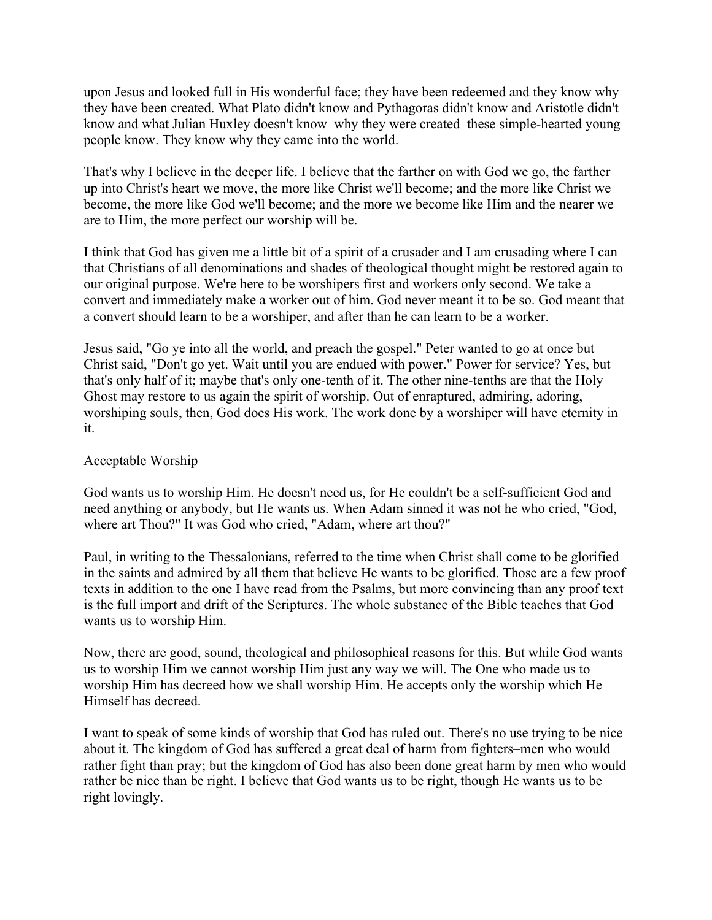upon Jesus and looked full in His wonderful face; they have been redeemed and they know why they have been created. What Plato didn't know and Pythagoras didn't know and Aristotle didn't know and what Julian Huxley doesn't know–why they were created–these simple-hearted young people know. They know why they came into the world.

That's why I believe in the deeper life. I believe that the farther on with God we go, the farther up into Christ's heart we move, the more like Christ we'll become; and the more like Christ we become, the more like God we'll become; and the more we become like Him and the nearer we are to Him, the more perfect our worship will be.

I think that God has given me a little bit of a spirit of a crusader and I am crusading where I can that Christians of all denominations and shades of theological thought might be restored again to our original purpose. We're here to be worshipers first and workers only second. We take a convert and immediately make a worker out of him. God never meant it to be so. God meant that a convert should learn to be a worshiper, and after than he can learn to be a worker.

Jesus said, "Go ye into all the world, and preach the gospel." Peter wanted to go at once but Christ said, "Don't go yet. Wait until you are endued with power." Power for service? Yes, but that's only half of it; maybe that's only one-tenth of it. The other nine-tenths are that the Holy Ghost may restore to us again the spirit of worship. Out of enraptured, admiring, adoring, worshiping souls, then, God does His work. The work done by a worshiper will have eternity in it.

## Acceptable Worship

God wants us to worship Him. He doesn't need us, for He couldn't be a self-sufficient God and need anything or anybody, but He wants us. When Adam sinned it was not he who cried, "God, where art Thou?" It was God who cried, "Adam, where art thou?"

Paul, in writing to the Thessalonians, referred to the time when Christ shall come to be glorified in the saints and admired by all them that believe He wants to be glorified. Those are a few proof texts in addition to the one I have read from the Psalms, but more convincing than any proof text is the full import and drift of the Scriptures. The whole substance of the Bible teaches that God wants us to worship Him.

Now, there are good, sound, theological and philosophical reasons for this. But while God wants us to worship Him we cannot worship Him just any way we will. The One who made us to worship Him has decreed how we shall worship Him. He accepts only the worship which He Himself has decreed.

I want to speak of some kinds of worship that God has ruled out. There's no use trying to be nice about it. The kingdom of God has suffered a great deal of harm from fighters–men who would rather fight than pray; but the kingdom of God has also been done great harm by men who would rather be nice than be right. I believe that God wants us to be right, though He wants us to be right lovingly.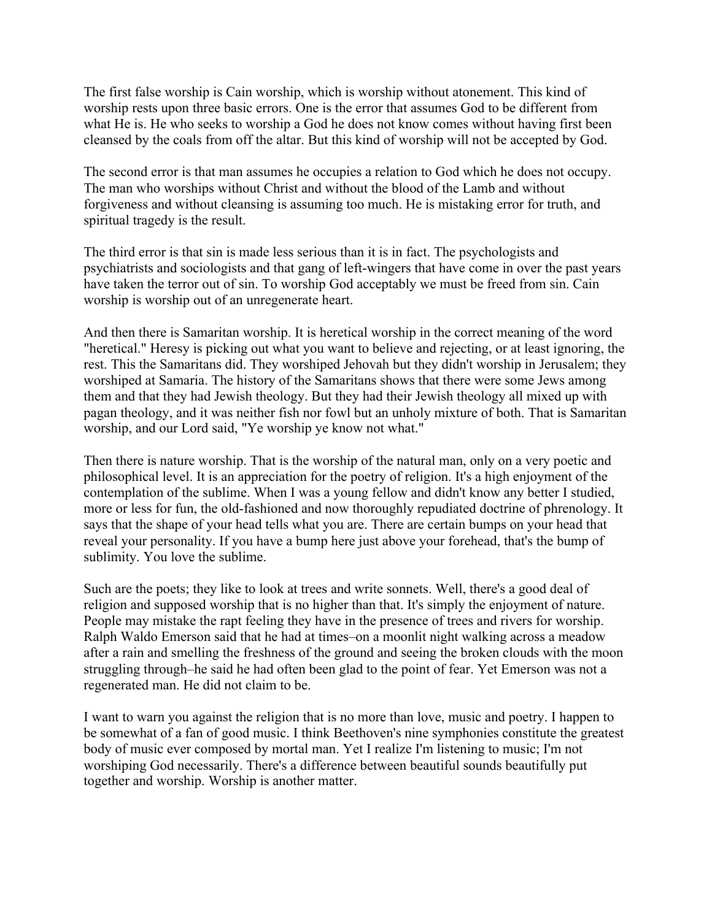The first false worship is Cain worship, which is worship without atonement. This kind of worship rests upon three basic errors. One is the error that assumes God to be different from what He is. He who seeks to worship a God he does not know comes without having first been cleansed by the coals from off the altar. But this kind of worship will not be accepted by God.

The second error is that man assumes he occupies a relation to God which he does not occupy. The man who worships without Christ and without the blood of the Lamb and without forgiveness and without cleansing is assuming too much. He is mistaking error for truth, and spiritual tragedy is the result.

The third error is that sin is made less serious than it is in fact. The psychologists and psychiatrists and sociologists and that gang of left-wingers that have come in over the past years have taken the terror out of sin. To worship God acceptably we must be freed from sin. Cain worship is worship out of an unregenerate heart.

And then there is Samaritan worship. It is heretical worship in the correct meaning of the word "heretical." Heresy is picking out what you want to believe and rejecting, or at least ignoring, the rest. This the Samaritans did. They worshiped Jehovah but they didn't worship in Jerusalem; they worshiped at Samaria. The history of the Samaritans shows that there were some Jews among them and that they had Jewish theology. But they had their Jewish theology all mixed up with pagan theology, and it was neither fish nor fowl but an unholy mixture of both. That is Samaritan worship, and our Lord said, "Ye worship ye know not what."

Then there is nature worship. That is the worship of the natural man, only on a very poetic and philosophical level. It is an appreciation for the poetry of religion. It's a high enjoyment of the contemplation of the sublime. When I was a young fellow and didn't know any better I studied, more or less for fun, the old-fashioned and now thoroughly repudiated doctrine of phrenology. It says that the shape of your head tells what you are. There are certain bumps on your head that reveal your personality. If you have a bump here just above your forehead, that's the bump of sublimity. You love the sublime.

Such are the poets; they like to look at trees and write sonnets. Well, there's a good deal of religion and supposed worship that is no higher than that. It's simply the enjoyment of nature. People may mistake the rapt feeling they have in the presence of trees and rivers for worship. Ralph Waldo Emerson said that he had at times–on a moonlit night walking across a meadow after a rain and smelling the freshness of the ground and seeing the broken clouds with the moon struggling through–he said he had often been glad to the point of fear. Yet Emerson was not a regenerated man. He did not claim to be.

I want to warn you against the religion that is no more than love, music and poetry. I happen to be somewhat of a fan of good music. I think Beethoven's nine symphonies constitute the greatest body of music ever composed by mortal man. Yet I realize I'm listening to music; I'm not worshiping God necessarily. There's a difference between beautiful sounds beautifully put together and worship. Worship is another matter.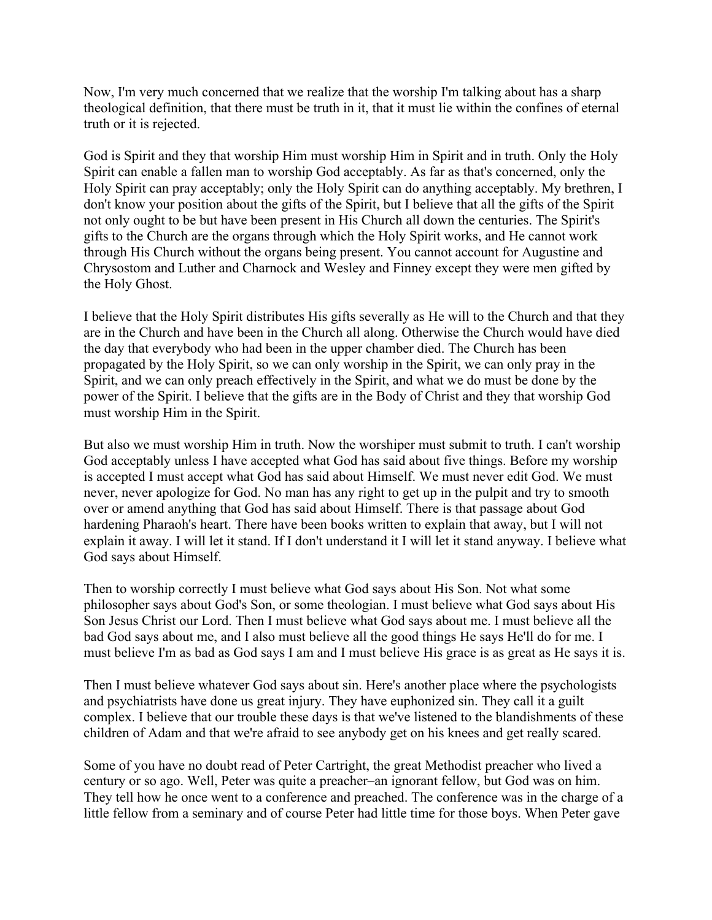Now, I'm very much concerned that we realize that the worship I'm talking about has a sharp theological definition, that there must be truth in it, that it must lie within the confines of eternal truth or it is rejected.

God is Spirit and they that worship Him must worship Him in Spirit and in truth. Only the Holy Spirit can enable a fallen man to worship God acceptably. As far as that's concerned, only the Holy Spirit can pray acceptably; only the Holy Spirit can do anything acceptably. My brethren, I don't know your position about the gifts of the Spirit, but I believe that all the gifts of the Spirit not only ought to be but have been present in His Church all down the centuries. The Spirit's gifts to the Church are the organs through which the Holy Spirit works, and He cannot work through His Church without the organs being present. You cannot account for Augustine and Chrysostom and Luther and Charnock and Wesley and Finney except they were men gifted by the Holy Ghost.

I believe that the Holy Spirit distributes His gifts severally as He will to the Church and that they are in the Church and have been in the Church all along. Otherwise the Church would have died the day that everybody who had been in the upper chamber died. The Church has been propagated by the Holy Spirit, so we can only worship in the Spirit, we can only pray in the Spirit, and we can only preach effectively in the Spirit, and what we do must be done by the power of the Spirit. I believe that the gifts are in the Body of Christ and they that worship God must worship Him in the Spirit.

But also we must worship Him in truth. Now the worshiper must submit to truth. I can't worship God acceptably unless I have accepted what God has said about five things. Before my worship is accepted I must accept what God has said about Himself. We must never edit God. We must never, never apologize for God. No man has any right to get up in the pulpit and try to smooth over or amend anything that God has said about Himself. There is that passage about God hardening Pharaoh's heart. There have been books written to explain that away, but I will not explain it away. I will let it stand. If I don't understand it I will let it stand anyway. I believe what God says about Himself.

Then to worship correctly I must believe what God says about His Son. Not what some philosopher says about God's Son, or some theologian. I must believe what God says about His Son Jesus Christ our Lord. Then I must believe what God says about me. I must believe all the bad God says about me, and I also must believe all the good things He says He'll do for me. I must believe I'm as bad as God says I am and I must believe His grace is as great as He says it is.

Then I must believe whatever God says about sin. Here's another place where the psychologists and psychiatrists have done us great injury. They have euphonized sin. They call it a guilt complex. I believe that our trouble these days is that we've listened to the blandishments of these children of Adam and that we're afraid to see anybody get on his knees and get really scared.

Some of you have no doubt read of Peter Cartright, the great Methodist preacher who lived a century or so ago. Well, Peter was quite a preacher–an ignorant fellow, but God was on him. They tell how he once went to a conference and preached. The conference was in the charge of a little fellow from a seminary and of course Peter had little time for those boys. When Peter gave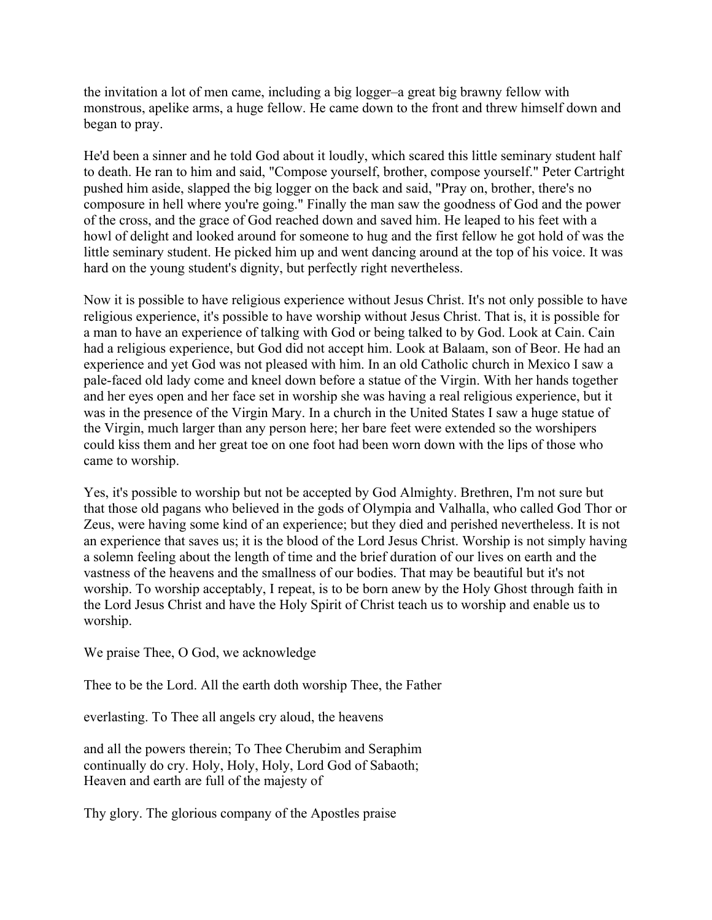the invitation a lot of men came, including a big logger–a great big brawny fellow with monstrous, apelike arms, a huge fellow. He came down to the front and threw himself down and began to pray.

He'd been a sinner and he told God about it loudly, which scared this little seminary student half to death. He ran to him and said, "Compose yourself, brother, compose yourself." Peter Cartright pushed him aside, slapped the big logger on the back and said, "Pray on, brother, there's no composure in hell where you're going." Finally the man saw the goodness of God and the power of the cross, and the grace of God reached down and saved him. He leaped to his feet with a howl of delight and looked around for someone to hug and the first fellow he got hold of was the little seminary student. He picked him up and went dancing around at the top of his voice. It was hard on the young student's dignity, but perfectly right nevertheless.

Now it is possible to have religious experience without Jesus Christ. It's not only possible to have religious experience, it's possible to have worship without Jesus Christ. That is, it is possible for a man to have an experience of talking with God or being talked to by God. Look at Cain. Cain had a religious experience, but God did not accept him. Look at Balaam, son of Beor. He had an experience and yet God was not pleased with him. In an old Catholic church in Mexico I saw a pale-faced old lady come and kneel down before a statue of the Virgin. With her hands together and her eyes open and her face set in worship she was having a real religious experience, but it was in the presence of the Virgin Mary. In a church in the United States I saw a huge statue of the Virgin, much larger than any person here; her bare feet were extended so the worshipers could kiss them and her great toe on one foot had been worn down with the lips of those who came to worship.

Yes, it's possible to worship but not be accepted by God Almighty. Brethren, I'm not sure but that those old pagans who believed in the gods of Olympia and Valhalla, who called God Thor or Zeus, were having some kind of an experience; but they died and perished nevertheless. It is not an experience that saves us; it is the blood of the Lord Jesus Christ. Worship is not simply having a solemn feeling about the length of time and the brief duration of our lives on earth and the vastness of the heavens and the smallness of our bodies. That may be beautiful but it's not worship. To worship acceptably, I repeat, is to be born anew by the Holy Ghost through faith in the Lord Jesus Christ and have the Holy Spirit of Christ teach us to worship and enable us to worship.

We praise Thee, О God, we acknowledge

Thee to be the Lord. All the earth doth worship Thee, the Father

everlasting. To Thee all angels cry aloud, the heavens

and all the powers therein; To Thee Cherubim and Seraphim continually do cry. Holy, Holy, Holy, Lord God of Sabaoth; Heaven and earth are full of the majesty of

Thy glory. The glorious company of the Apostles praise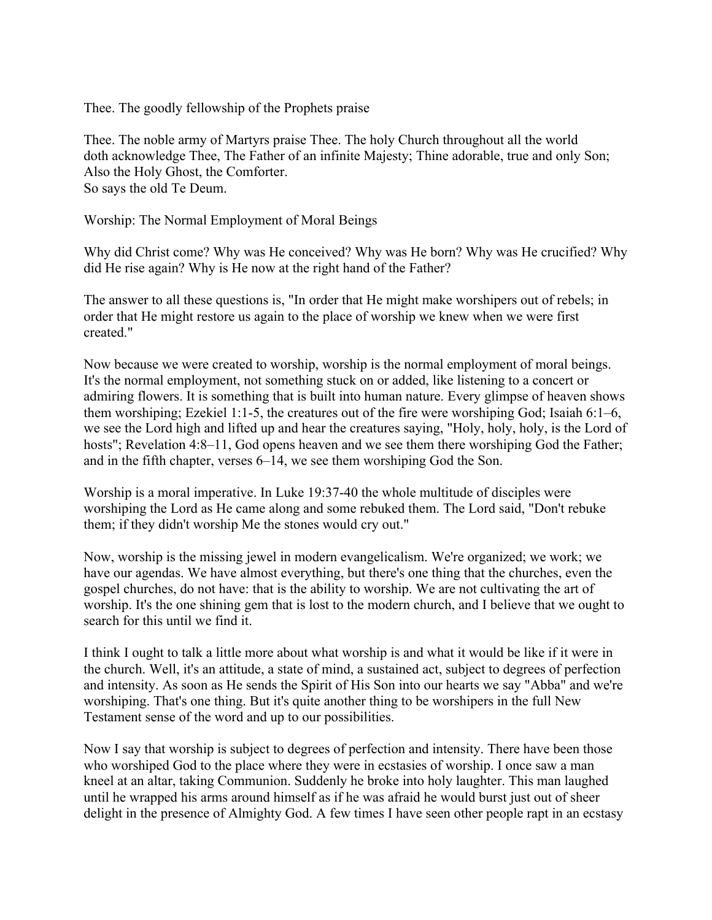Thee. The goodly fellowship of the Prophets praise

Thee. The noble army of Martyrs praise Thee. The holy Church throughout all the world doth acknowledge Thee, The Father of an infinite Majesty; Thine adorable, true and only Son; Also the Holy Ghost, the Comforter. So says the old Те Deum.

Worship: The Normal Employment of Moral Beings

Why did Christ come? Why was He conceived? Why was He born? Why was He crucified? Why did He rise again? Why is He now at the right hand of the Father?

The answer to all these questions is, "In order that He might make worshipers out of rebels; in order that He might restore us again to the place of worship we knew when we were first created."

Now because we were created to worship, worship is the normal employment of moral beings. It's the normal employment, not something stuck on or added, like listening to a concert or admiring flowers. It is something that is built into human nature. Every glimpse of heaven shows them worshiping; Ezekiel 1:1-5, the creatures out of the fire were worshiping God; Isaiah 6:1–6, we see the Lord high and lifted up and hear the creatures saying, "Holy, holy, holy, is the Lord of hosts"; Revelation 4:8–11, God opens heaven and we see them there worshiping God the Father; and in the fifth chapter, verses 6–14, we see them worshiping God the Son.

Worship is a moral imperative. In Luke 19:37-40 the whole multitude of disciples were worshiping the Lord as He came along and some rebuked them. The Lord said, "Don't rebuke them; if they didn't worship Me the stones would cry out."

Now, worship is the missing jewel in modern evangelicalism. We're organized; we work; we have our agendas. We have almost everything, but there's one thing that the churches, even the gospel churches, do not have: that is the ability to worship. We are not cultivating the art of worship. It's the one shining gem that is lost to the modern church, and I believe that we ought to search for this until we find it.

I think I ought to talk a little more about what worship is and what it would be like if it were in the church. Well, it's an attitude, a state of mind, a sustained act, subject to degrees of perfection and intensity. As soon as He sends the Spirit of His Son into our hearts we say "Abba" and we're worshiping. That's one thing. But it's quite another thing to be worshipers in the full New Testament sense of the word and up to our possibilities.

Now I say that worship is subject to degrees of perfection and intensity. There have been those who worshiped God to the place where they were in ecstasies of worship. I once saw a man kneel at an altar, taking Communion. Suddenly he broke into holy laughter. This man laughed until he wrapped his arms around himself as if he was afraid he would burst just out of sheer delight in the presence of Almighty God. A few times I have seen other people rapt in an ecstasy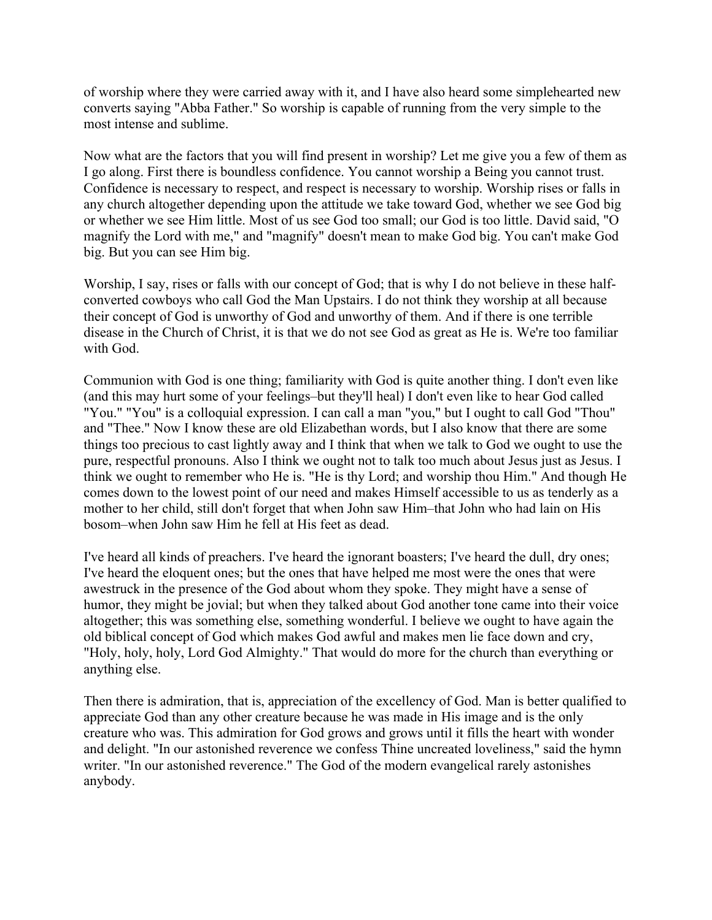of worship where they were carried away with it, and I have also heard some simplehearted new converts saying "Abba Father." So worship is capable of running from the very simple to the most intense and sublime.

Now what are the factors that you will find present in worship? Let me give you a few of them as I go along. First there is boundless confidence. You cannot worship a Being you cannot trust. Confidence is necessary to respect, and respect is necessary to worship. Worship rises or falls in any church altogether depending upon the attitude we take toward God, whether we see God big or whether we see Him little. Most of us see God too small; our God is too little. David said, "O magnify the Lord with me," and "magnify" doesn't mean to make God big. You can't make God big. But you can see Him big.

Worship, I say, rises or falls with our concept of God; that is why I do not believe in these halfconverted cowboys who call God the Man Upstairs. I do not think they worship at all because their concept of God is unworthy of God and unworthy of them. And if there is one terrible disease in the Church of Christ, it is that we do not see God as great as He is. We're too familiar with God.

Communion with God is one thing; familiarity with God is quite another thing. I don't even like (and this may hurt some of your feelings–but they'll heal) I don't even like to hear God called "You." "You" is a colloquial expression. I can call a man "you," but I ought to call God "Thou" and "Thee." Now I know these are old Elizabethan words, but I also know that there are some things too precious to cast lightly away and I think that when we talk to God we ought to use the pure, respectful pronouns. Also I think we ought not to talk too much about Jesus just as Jesus. I think we ought to remember who He is. "He is thy Lord; and worship thou Him." And though He comes down to the lowest point of our need and makes Himself accessible to us as tenderly as a mother to her child, still don't forget that when John saw Him–that John who had lain on His bosom–when John saw Him he fell at His feet as dead.

I've heard all kinds of preachers. I've heard the ignorant boasters; I've heard the dull, dry ones; I've heard the eloquent ones; but the ones that have helped me most were the ones that were awestruck in the presence of the God about whom they spoke. They might have a sense of humor, they might be jovial; but when they talked about God another tone came into their voice altogether; this was something else, something wonderful. I believe we ought to have again the old biblical concept of God which makes God awful and makes men lie face down and cry, "Holy, holy, holy, Lord God Almighty." That would do more for the church than everything or anything else.

Then there is admiration, that is, appreciation of the excellency of God. Man is better qualified to appreciate God than any other creature because he was made in His image and is the only creature who was. This admiration for God grows and grows until it fills the heart with wonder and delight. "In our astonished reverence we confess Thine uncreated loveliness," said the hymn writer. "In our astonished reverence." The God of the modern evangelical rarely astonishes anybody.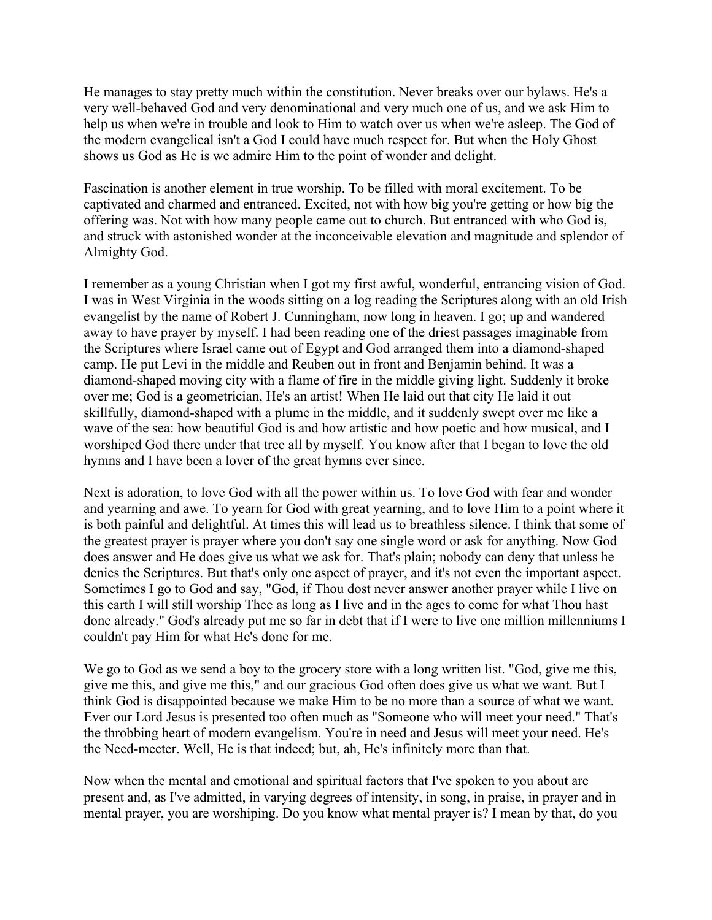He manages to stay pretty much within the constitution. Never breaks over our bylaws. He's a very well-behaved God and very denominational and very much one of us, and we ask Him to help us when we're in trouble and look to Him to watch over us when we're asleep. The God of the modern evangelical isn't a God I could have much respect for. But when the Holy Ghost shows us God as He is we admire Him to the point of wonder and delight.

Fascination is another element in true worship. To be filled with moral excitement. To be captivated and charmed and entranced. Excited, not with how big you're getting or how big the offering was. Not with how many people came out to church. But entranced with who God is, and struck with astonished wonder at the inconceivable elevation and magnitude and splendor of Almighty God.

I remember as a young Christian when I got my first awful, wonderful, entrancing vision of God. I was in West Virginia in the woods sitting on a log reading the Scriptures along with an old Irish evangelist by the name of Robert J. Cunningham, now long in heaven. I go; up and wandered away to have prayer by myself. I had been reading one of the driest passages imaginable from the Scriptures where Israel came out of Egypt and God arranged them into a diamond-shaped camp. He put Levi in the middle and Reuben out in front and Benjamin behind. It was a diamond-shaped moving city with a flame of fire in the middle giving light. Suddenly it broke over me; God is a geometrician, He's an artist! When He laid out that city He laid it out skillfully, diamond-shaped with a plume in the middle, and it suddenly swept over me like a wave of the sea: how beautiful God is and how artistic and how poetic and how musical, and I worshiped God there under that tree all by myself. You know after that I began to love the old hymns and I have been a lover of the great hymns ever since.

Next is adoration, to love God with all the power within us. To love God with fear and wonder and yearning and awe. To yearn for God with great yearning, and to love Him to a point where it is both painful and delightful. At times this will lead us to breathless silence. I think that some of the greatest prayer is prayer where you don't say one single word or ask for anything. Now God does answer and He does give us what we ask for. That's plain; nobody can deny that unless he denies the Scriptures. But that's only one aspect of prayer, and it's not even the important aspect. Sometimes I go to God and say, "God, if Thou dost never answer another prayer while I live on this earth I will still worship Thee as long as I live and in the ages to come for what Thou hast done already." God's already put me so far in debt that if I were to live one million millenniums I couldn't pay Him for what He's done for me.

We go to God as we send a boy to the grocery store with a long written list. "God, give me this, give me this, and give me this," and our gracious God often does give us what we want. But I think God is disappointed because we make Him to be no more than a source of what we want. Ever our Lord Jesus is presented too often much as "Someone who will meet your need." That's the throbbing heart of modern evangelism. You're in need and Jesus will meet your need. He's the Need-meeter. Well, He is that indeed; but, ah, He's infinitely more than that.

Now when the mental and emotional and spiritual factors that I've spoken to you about are present and, as I've admitted, in varying degrees of intensity, in song, in praise, in prayer and in mental prayer, you are worshiping. Do you know what mental prayer is? I mean by that, do you